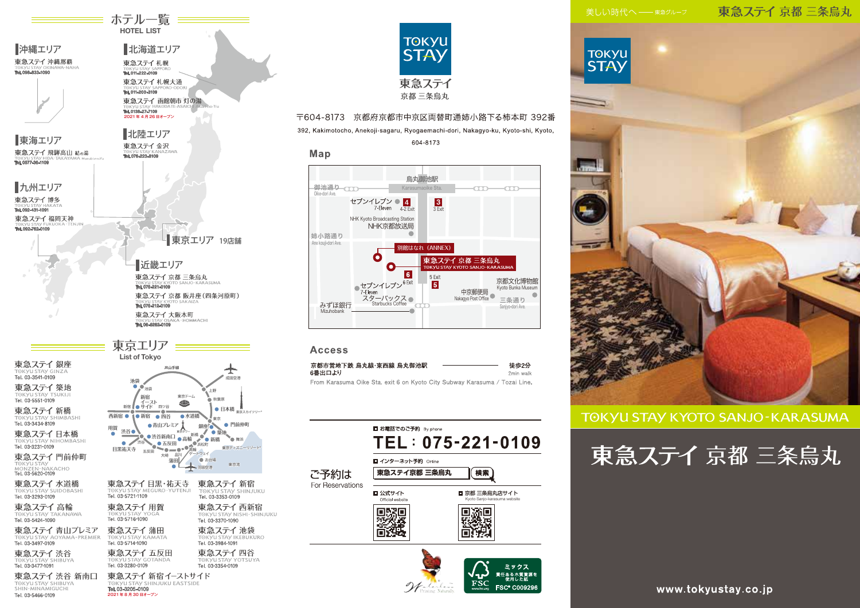## 東急ステイ京都三条烏丸



## **TOKYU STAY KYOTO SANJO-KARASUMA**

東急ステイ京都三条烏丸



東急ステイ築地 TOKYU STAY TS 東急ステイ新橋 **TOKYU STAY SHIMBASH** Tel. 03-3434-8109

東急ステイ日本橋 TOKYU STAY NIHOMBASHI<br>Tel. 03-3231-0109

東急ステイ 銀座

TOKYU STAY GI<br>**Tel. 03-3541-0109** 

■沖縄エリア

東海エリア

■九州エリア

東急ステイ博多

東急ステイ福岡天神

TORYU SIA Y HA<br>Tai 000 401 4001

Tel. 092-762-010

TORYUSTAY HIL

東急ステイ 飛騨高山 結の湯

東急ステイ 沖縄那覇

東急ステイ門前仲町 TOKYU STAY<br>MONZEN-NAKACHO<br>**Tel. 03-5620-0109** 

東急ステイ 水道橋 TOKYU STAY SUIDOBASHI<br>**Tel. 03-3293-0109** 

東急ステイ高輪 TOKYU STAY TA<br>Tel. 03-5424-1090 .....<br>ANAWA

東急ステイ 青山プレミア TOK VILSTAV AOYAMA-PREMIER Tel. 03-3497-0109

東急ステイ渋谷 T⊙KYU STAY SF<br>**Tel. 03-3477-1091** 

東急ステイ 渋谷 新南口 TOKYU STAY SHIBUYA Tel. 03-3205-0109 Tel. 03-5466-0109 2021年8月30日オープン



**≡ ホテル一覧 ==== HOTEL LIST** 

北海道エリア

東急ステイ 函館朝市 灯の湯

東急ステイ札幌 Tel. 011-222-0109 東急ステイ札幌大通

TORYUSIAY SA

Tel. 0138-27-7109 2021年4月26日オープン

北陸エリア

東急ステイ金沢



## 〒604-8173 京都府京都市中京区両替町通姉小路下る柿本町 392番

392, Kakimotocho, Anekoji-sagaru, Ryogaemachi-dori, Nakagyo-ku, Kyoto-shi, Kyoto,

604-8173

#### Map 烏丸御池駅 御池通りてて Karasum oike Sta. Oike-dori Ave. セブンイレブン ● 4  $\frac{3}{3}$  Exit 7-Eleven 4-2 Exit NHK Kyoto Broadcasting Station NHK京都放送局 姉小路通り Ane kouji-dori Ave. 別館はなれ (ANNEX)  $\bullet$ 東急ステイ 京都 三条烏丸  $\mathbf{o}$  $\overline{6}$  $rac{5 \text{ Exist}}{5}$ 京都文化博物館 ●セブンイレブン<sup>6 Exit</sup> אפנן סופון איז גער.<br>Kvoto Bunka Museum 中京郵便局 7-Fleven /-cieven<br>スターバックス● Nakaqyo Post Office 三条通り Starbucks Coffee みずほ銀行 Saniyo-dori Aye Mizuhohank

## **Access**

| 京都市営地下鉄 烏丸線・東西線 烏丸御池駅                                                     | 徒歩2分      |
|---------------------------------------------------------------------------|-----------|
| 6番出口より                                                                    | 2min walk |
| Erom Karasuma Oike Sta Lexit 6 on Kyoto City Subway Karasuma / Tozai Line |           |

|                  | ■ お電話でのご予約 By phone                      | TEL: 075-221-0109                                              |  |
|------------------|------------------------------------------|----------------------------------------------------------------|--|
| ご予約は             | ■ インターネット予約 Online<br>東急ステイ京都 三条烏丸<br>冷索 |                                                                |  |
| For Reservations | ■ 公式サイト<br>Official website              | ■ 京都 三条烏丸店サイト<br>Kvoto Sanio-karasuma website                  |  |
|                  |                                          |                                                                |  |
|                  |                                          | ミックス                                                           |  |
|                  |                                          | 責任ある木質資源を<br>修用した紙<br>FS<br><b>FSC® C009296</b><br>www.fsc.org |  |

www.tokyustay.co.jp